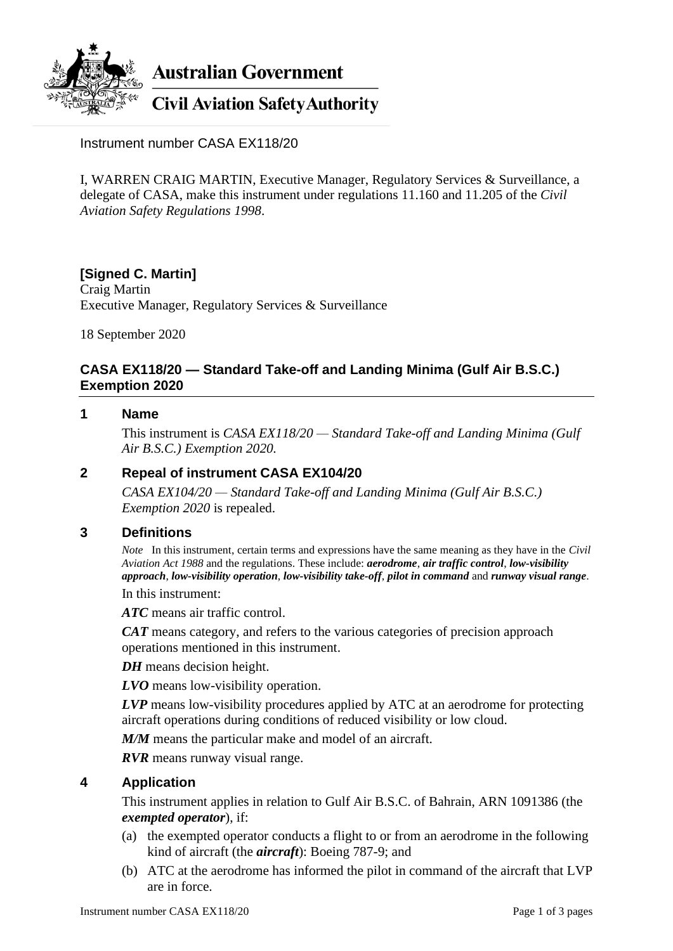

**Australian Government** 

**Civil Aviation Safety Authority** 

Instrument number CASA EX118/20

I, WARREN CRAIG MARTIN, Executive Manager, Regulatory Services & Surveillance, a delegate of CASA, make this instrument under regulations 11.160 and 11.205 of the *Civil Aviation Safety Regulations 1998*.

## **[Signed C. Martin]**

Craig Martin Executive Manager, Regulatory Services & Surveillance

18 September 2020

## **CASA EX118/20 — Standard Take-off and Landing Minima (Gulf Air B.S.C.) Exemption 2020**

#### **1 Name**

This instrument is *CASA EX118/20 — Standard Take-off and Landing Minima (Gulf Air B.S.C.) Exemption 2020.*

#### **2 Repeal of instrument CASA EX104/20**

*CASA EX104/20 — Standard Take-off and Landing Minima (Gulf Air B.S.C.) Exemption 2020* is repealed.

### **3 Definitions**

*Note* In this instrument, certain terms and expressions have the same meaning as they have in the *Civil Aviation Act 1988* and the regulations. These include: *aerodrome*, *air traffic control*, *low-visibility approach*, *low-visibility operation*, *low-visibility take-off*, *pilot in command* and *runway visual range*.

In this instrument:

*ATC* means air traffic control.

*CAT* means category, and refers to the various categories of precision approach operations mentioned in this instrument.

*DH* means decision height.

*LVO* means low-visibility operation.

*LVP* means low-visibility procedures applied by ATC at an aerodrome for protecting aircraft operations during conditions of reduced visibility or low cloud.

*M/M* means the particular make and model of an aircraft.

*RVR* means runway visual range.

#### **4 Application**

This instrument applies in relation to Gulf Air B.S.C. of Bahrain, ARN 1091386 (the *exempted operator*), if:

- (a) the exempted operator conducts a flight to or from an aerodrome in the following kind of aircraft (the *aircraft*): Boeing 787-9; and
- (b) ATC at the aerodrome has informed the pilot in command of the aircraft that LVP are in force.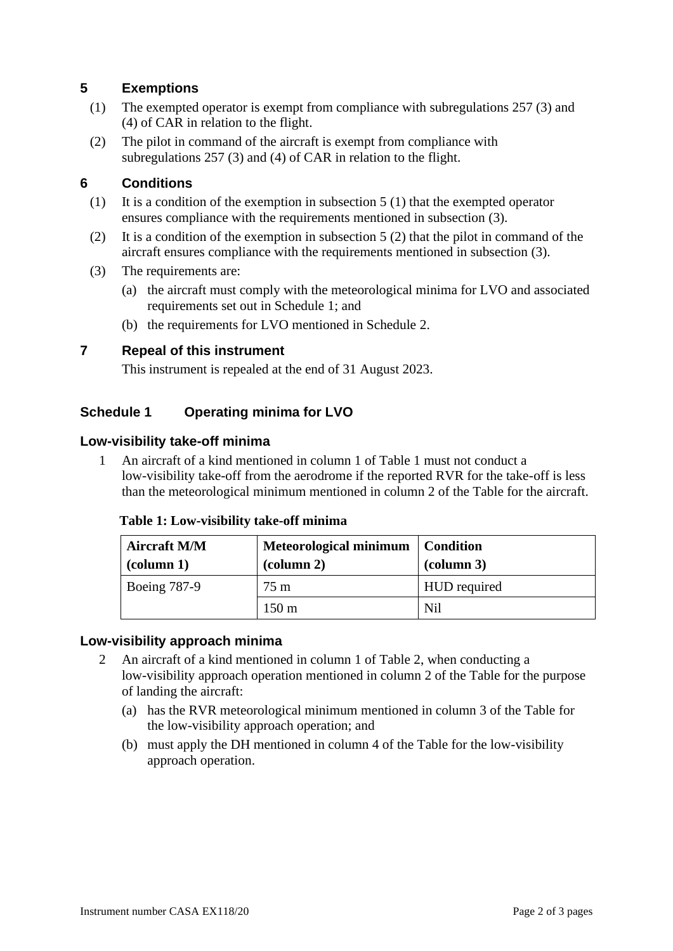## **5 Exemptions**

- (1) The exempted operator is exempt from compliance with subregulations 257 (3) and (4) of CAR in relation to the flight.
- (2) The pilot in command of the aircraft is exempt from compliance with subregulations 257 (3) and (4) of CAR in relation to the flight.

## **6 Conditions**

- (1) It is a condition of the exemption in subsection  $5(1)$  that the exempted operator ensures compliance with the requirements mentioned in subsection (3).
- (2) It is a condition of the exemption in subsection 5 (2) that the pilot in command of the aircraft ensures compliance with the requirements mentioned in subsection (3).
- (3) The requirements are:
	- (a) the aircraft must comply with the meteorological minima for LVO and associated requirements set out in Schedule 1; and
	- (b) the requirements for LVO mentioned in Schedule 2.

### **7 Repeal of this instrument**

This instrument is repealed at the end of 31 August 2023.

# **Schedule 1 Operating minima for LVO**

### **Low-visibility take-off minima**

1 An aircraft of a kind mentioned in column 1 of Table 1 must not conduct a low-visibility take-off from the aerodrome if the reported RVR for the take-off is less than the meteorological minimum mentioned in column 2 of the Table for the aircraft.

| <b>Table 1: Low-visibility take-off minimize</b> |  |
|--------------------------------------------------|--|
|                                                  |  |

**Table 1: Low-visibility take-off minima**

| <b>Aircraft M/M</b><br>$\alpha$ (column 1) | <b>Meteorological minimum</b><br>$\alpha$ (column 2) | Condition<br>$\alpha$ (column 3) |
|--------------------------------------------|------------------------------------------------------|----------------------------------|
| <b>Boeing 787-9</b>                        | 75 m                                                 | <b>HUD</b> required              |
|                                            | $150 \text{ m}$                                      | Nil                              |

### **Low-visibility approach minima**

- 2 An aircraft of a kind mentioned in column 1 of Table 2, when conducting a low-visibility approach operation mentioned in column 2 of the Table for the purpose of landing the aircraft:
	- (a) has the RVR meteorological minimum mentioned in column 3 of the Table for the low-visibility approach operation; and
	- (b) must apply the DH mentioned in column 4 of the Table for the low-visibility approach operation.